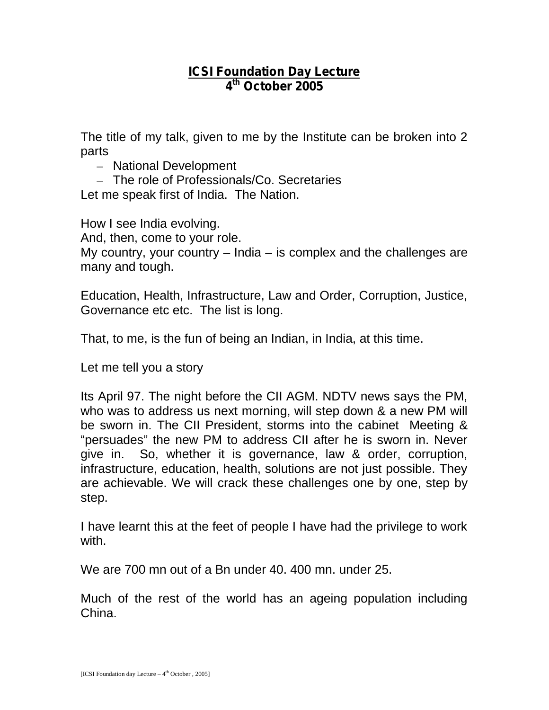## **ICSI Foundation Day Lecture 4 th October 2005**

The title of my talk, given to me by the Institute can be broken into 2 parts

- National Development
- The role of Professionals/Co. Secretaries

Let me speak first of India. The Nation.

How I see India evolving.

And, then, come to your role.

My country, your country – India – is complex and the challenges are many and tough.

Education, Health, Infrastructure, Law and Order, Corruption, Justice, Governance etc etc. The list is long.

That, to me, is the fun of being an Indian, in India, at this time.

Let me tell you a story

Its April 97. The night before the CII AGM. NDTV news says the PM, who was to address us next morning, will step down & a new PM will be sworn in. The CII President, storms into the cabinet Meeting & "persuades" the new PM to address CII after he is sworn in. Never give in. So, whether it is governance, law & order, corruption, infrastructure, education, health, solutions are not just possible. They are achievable. We will crack these challenges one by one, step by step.

I have learnt this at the feet of people I have had the privilege to work with.

We are 700 mn out of a Bn under 40. 400 mn. under 25.

Much of the rest of the world has an ageing population including China.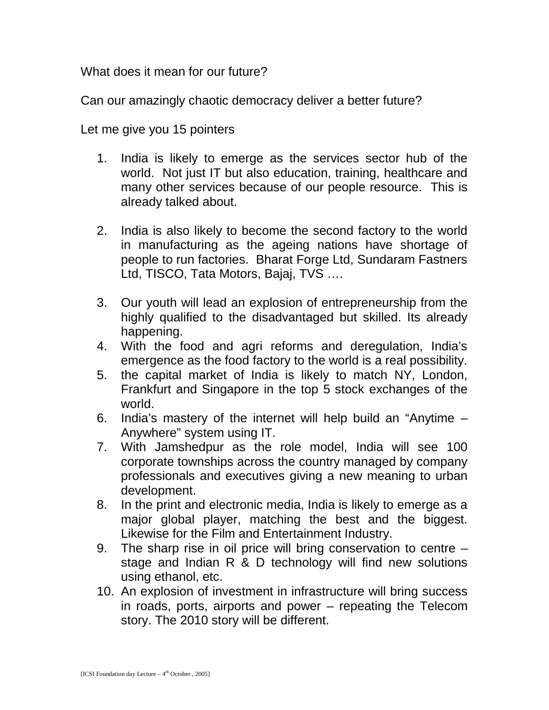What does it mean for our future?

Can our amazingly chaotic democracy deliver a better future?

Let me give you 15 pointers

- 1. India is likely to emerge as the services sector hub of the world. Not just IT but also education, training, healthcare and many other services because of our people resource. This is already talked about.
- 2. India is also likely to become the second factory to the world in manufacturing as the ageing nations have shortage of people to run factories. Bharat Forge Ltd, Sundaram Fastners Ltd, TISCO, Tata Motors, Bajaj, TVS ….
- 3. Our youth will lead an explosion of entrepreneurship from the highly qualified to the disadvantaged but skilled. Its already happening.
- 4. With the food and agri reforms and deregulation, India's emergence as the food factory to the world is a real possibility.
- 5. the capital market of India is likely to match NY, London, Frankfurt and Singapore in the top 5 stock exchanges of the world.
- 6. India's mastery of the internet will help build an "Anytime Anywhere" system using IT.
- 7. With Jamshedpur as the role model, India will see 100 corporate townships across the country managed by company professionals and executives giving a new meaning to urban development.
- 8. In the print and electronic media, India is likely to emerge as a major global player, matching the best and the biggest. Likewise for the Film and Entertainment Industry.
- 9. The sharp rise in oil price will bring conservation to centre stage and Indian R & D technology will find new solutions using ethanol, etc.
- 10. An explosion of investment in infrastructure will bring success in roads, ports, airports and power – repeating the Telecom story. The 2010 story will be different.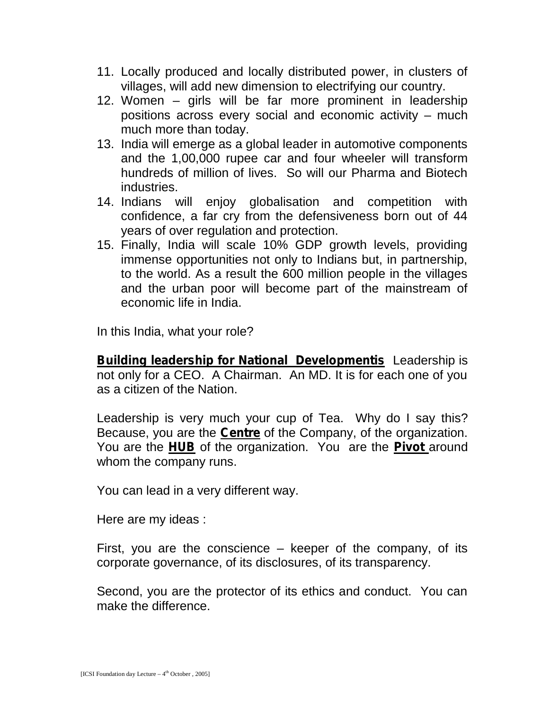- 11. Locally produced and locally distributed power, in clusters of villages, will add new dimension to electrifying our country.
- 12. Women girls will be far more prominent in leadership positions across every social and economic activity – much much more than today.
- 13. India will emerge as a global leader in automotive components and the 1,00,000 rupee car and four wheeler will transform hundreds of million of lives. So will our Pharma and Biotech industries.
- 14. Indians will enjoy globalisation and competition with confidence, a far cry from the defensiveness born out of 44 years of over regulation and protection.
- 15. Finally, India will scale 10% GDP growth levels, providing immense opportunities not only to Indians but, in partnership, to the world. As a result the 600 million people in the villages and the urban poor will become part of the mainstream of economic life in India.

In this India, what your role?

**Building leadership for National Developmentis** Leadership is not only for a CEO. A Chairman. An MD. It is for each one of you as a citizen of the Nation.

Leadership is very much your cup of Tea. Why do I say this? Because, you are the **Centre** of the Company, of the organization. You are the **HUB** of the organization. You are the **Pivot** around whom the company runs.

You can lead in a very different way.

Here are my ideas :

First, you are the conscience – keeper of the company, of its corporate governance, of its disclosures, of its transparency.

Second, you are the protector of its ethics and conduct. You can make the difference.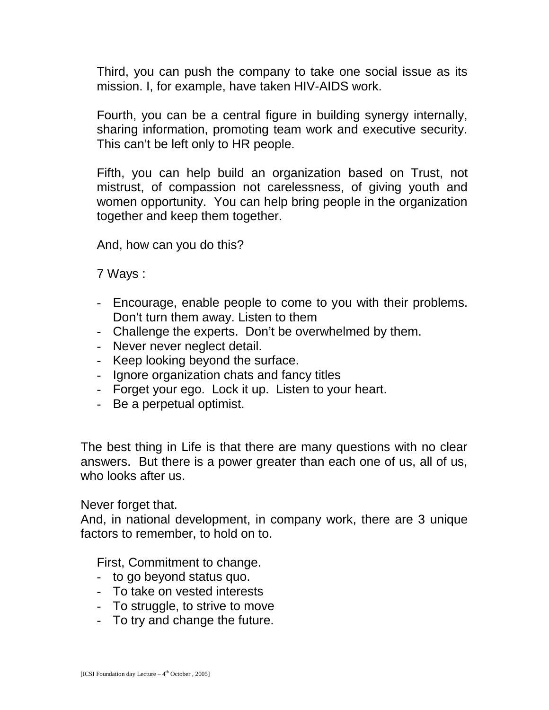Third, you can push the company to take one social issue as its mission. I, for example, have taken HIV-AIDS work.

Fourth, you can be a central figure in building synergy internally, sharing information, promoting team work and executive security. This can't be left only to HR people.

Fifth, you can help build an organization based on Trust, not mistrust, of compassion not carelessness, of giving youth and women opportunity. You can help bring people in the organization together and keep them together.

And, how can you do this?

7 Ways :

- Encourage, enable people to come to you with their problems. Don't turn them away. Listen to them
- Challenge the experts. Don't be overwhelmed by them.
- Never never neglect detail.
- Keep looking beyond the surface.
- Ignore organization chats and fancy titles
- Forget your ego. Lock it up. Listen to your heart.
- Be a perpetual optimist.

The best thing in Life is that there are many questions with no clear answers. But there is a power greater than each one of us, all of us, who looks after us.

Never forget that.

And, in national development, in company work, there are 3 unique factors to remember, to hold on to.

First, Commitment to change.

- to go beyond status quo.
- To take on vested interests
- To struggle, to strive to move
- To try and change the future.